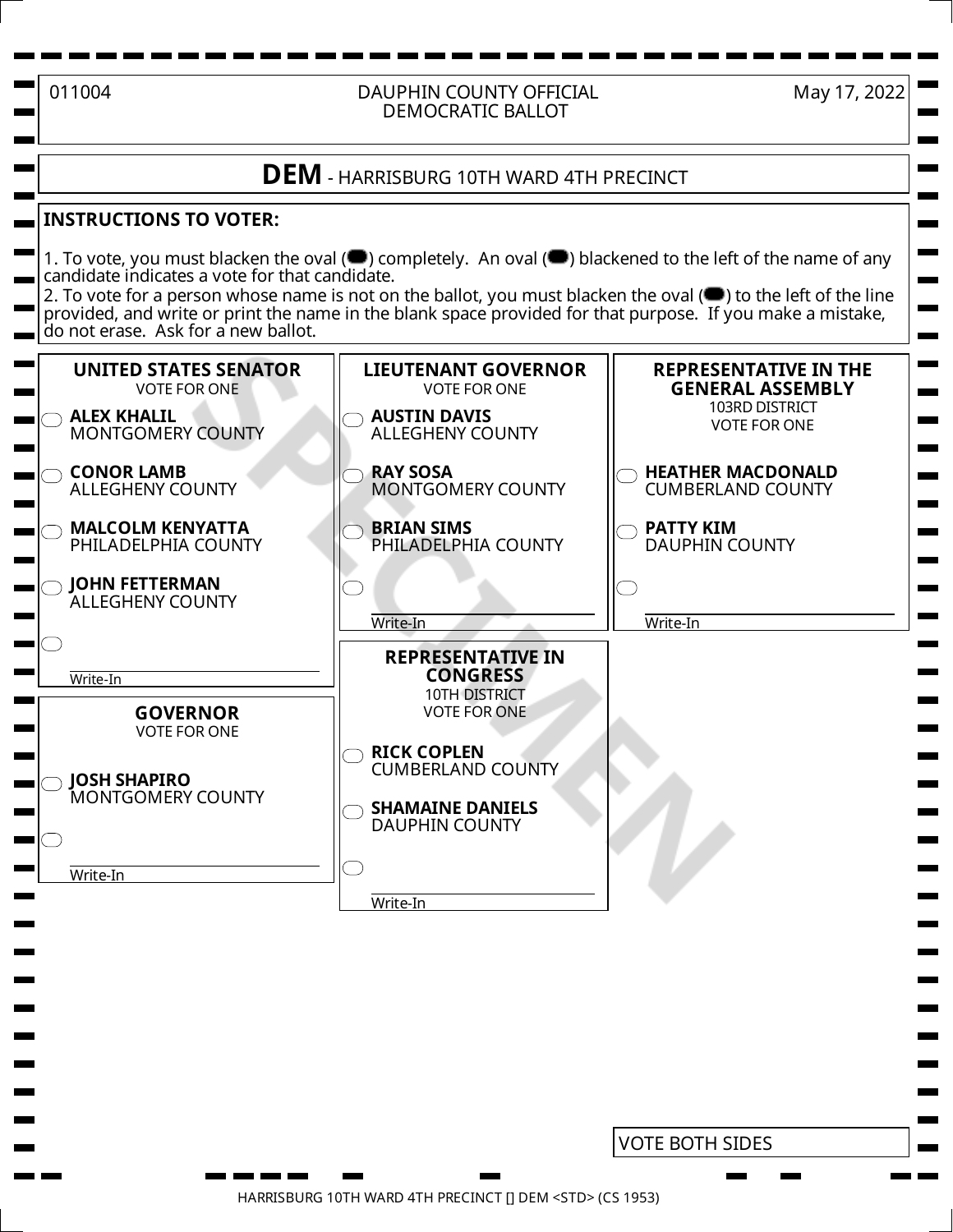## 011004 DAUPHIN COUNTY OFFICIAL DEMOCRATIC BALLOT

May 17, 2022

## **DEM** - HARRISBURG 10TH WARD 4TH PRECINCT

## **INSTRUCTIONS TO VOTER:**

1. To vote, you must blacken the oval  $(\blacksquare)$  completely. An oval  $(\blacksquare)$  blackened to the left of the name of any candidate indicates a vote for that candidate.

2. To vote for a person whose name is not on the ballot, you must blacken the oval  $(\bullet)$  to the left of the line provided, and write or print the name in the blank space provided for that purpose. If you make a mistake, do not erase. Ask for a new ballot.